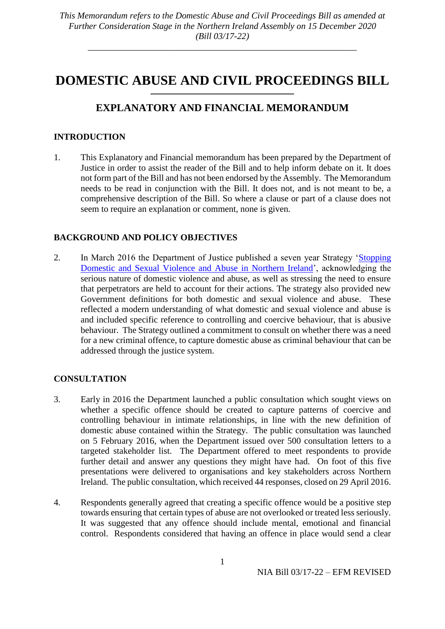## **DOMESTIC ABUSE AND CIVIL PROCEEDINGS BILL** \_\_\_\_\_\_\_\_\_\_\_\_\_\_\_\_\_\_\_\_\_\_\_\_\_\_\_\_\_\_\_\_\_\_\_\_\_\_\_\_\_\_\_\_\_\_\_\_

# **EXPLANATORY AND FINANCIAL MEMORANDUM**

## **INTRODUCTION**

1. This Explanatory and Financial memorandum has been prepared by the Department of Justice in order to assist the reader of the Bill and to help inform debate on it. It does not form part of the Bill and has not been endorsed by the Assembly. The Memorandum needs to be read in conjunction with the Bill. It does not, and is not meant to be, a comprehensive description of the Bill. So where a clause or part of a clause does not seem to require an explanation or comment, none is given.

## **BACKGROUND AND POLICY OBJECTIVES**

2. In March 2016 the Department of Justice published a seven year Strategy ['Stopping](https://www.justice-ni.gov.uk/publications/stopping-domestic-and-sexual-violence-and-abuse-northern-ireland-seven-year-strategy-march-2016)  [Domestic and Sexual Violence and Abuse in Northern Ireland'](https://www.justice-ni.gov.uk/publications/stopping-domestic-and-sexual-violence-and-abuse-northern-ireland-seven-year-strategy-march-2016), acknowledging the serious nature of domestic violence and abuse, as well as stressing the need to ensure that perpetrators are held to account for their actions. The strategy also provided new Government definitions for both domestic and sexual violence and abuse. These reflected a modern understanding of what domestic and sexual violence and abuse is and included specific reference to controlling and coercive behaviour, that is abusive behaviour. The Strategy outlined a commitment to consult on whether there was a need for a new criminal offence, to capture domestic abuse as criminal behaviour that can be addressed through the justice system.

## **CONSULTATION**

- 3. Early in 2016 the Department launched a public consultation which sought views on whether a specific offence should be created to capture patterns of coercive and controlling behaviour in intimate relationships, in line with the new definition of domestic abuse contained within the Strategy. The public consultation was launched on 5 February 2016, when the Department issued over 500 consultation letters to a targeted stakeholder list. The Department offered to meet respondents to provide further detail and answer any questions they might have had. On foot of this five presentations were delivered to organisations and key stakeholders across Northern Ireland. The public consultation, which received 44 responses, closed on 29 April 2016.
- 4. Respondents generally agreed that creating a specific offence would be a positive step towards ensuring that certain types of abuse are not overlooked or treated less seriously. It was suggested that any offence should include mental, emotional and financial control. Respondents considered that having an offence in place would send a clear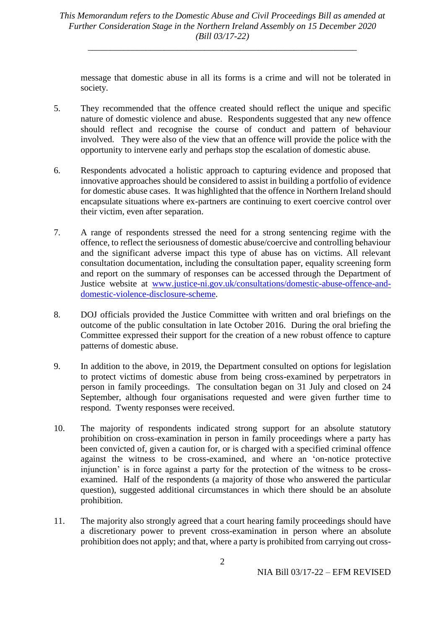\_\_\_\_\_\_\_\_\_\_\_\_\_\_\_\_\_\_\_\_\_\_\_\_\_\_\_\_\_\_\_\_\_\_\_\_\_\_\_\_\_\_\_\_\_\_\_\_\_\_\_\_\_\_\_\_\_\_\_\_

message that domestic abuse in all its forms is a crime and will not be tolerated in society.

- 5. They recommended that the offence created should reflect the unique and specific nature of domestic violence and abuse. Respondents suggested that any new offence should reflect and recognise the course of conduct and pattern of behaviour involved. They were also of the view that an offence will provide the police with the opportunity to intervene early and perhaps stop the escalation of domestic abuse.
- 6. Respondents advocated a holistic approach to capturing evidence and proposed that innovative approaches should be considered to assist in building a portfolio of evidence for domestic abuse cases. It was highlighted that the offence in Northern Ireland should encapsulate situations where ex-partners are continuing to exert coercive control over their victim, even after separation.
- 7. A range of respondents stressed the need for a strong sentencing regime with the offence, to reflect the seriousness of domestic abuse/coercive and controlling behaviour and the significant adverse impact this type of abuse has on victims. All relevant consultation documentation, including the consultation paper, equality screening form and report on the summary of responses can be accessed through the Department of Justice website at [www.justice-ni.gov.uk/consultations/domestic-abuse-offence-and](file:///C:/Users/2334412/AppData/Local/Microsoft/Windows/INetCache/Content.Outlook/AV1E9X6I/www.justice-ni.gov.uk/consultations/domestic-abuse-offence-and-domestic-violence-disclosure-scheme)[domestic-violence-disclosure-scheme.](file:///C:/Users/2334412/AppData/Local/Microsoft/Windows/INetCache/Content.Outlook/AV1E9X6I/www.justice-ni.gov.uk/consultations/domestic-abuse-offence-and-domestic-violence-disclosure-scheme)
- 8. DOJ officials provided the Justice Committee with written and oral briefings on the outcome of the public consultation in late October 2016. During the oral briefing the Committee expressed their support for the creation of a new robust offence to capture patterns of domestic abuse.
- 9. In addition to the above, in 2019, the Department consulted on options for legislation to protect victims of domestic abuse from being cross-examined by perpetrators in person in family proceedings. The consultation began on 31 July and closed on 24 September, although four organisations requested and were given further time to respond. Twenty responses were received.
- 10. The majority of respondents indicated strong support for an absolute statutory prohibition on cross-examination in person in family proceedings where a party has been convicted of, given a caution for, or is charged with a specified criminal offence against the witness to be cross-examined, and where an 'on-notice protective injunction' is in force against a party for the protection of the witness to be crossexamined. Half of the respondents (a majority of those who answered the particular question), suggested additional circumstances in which there should be an absolute prohibition.
- 11. The majority also strongly agreed that a court hearing family proceedings should have a discretionary power to prevent cross-examination in person where an absolute prohibition does not apply; and that, where a party is prohibited from carrying out cross-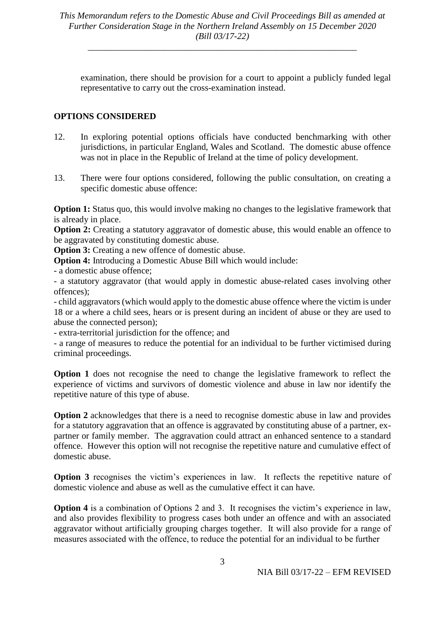examination, there should be provision for a court to appoint a publicly funded legal representative to carry out the cross-examination instead.

## **OPTIONS CONSIDERED**

- 12. In exploring potential options officials have conducted benchmarking with other jurisdictions, in particular England, Wales and Scotland. The domestic abuse offence was not in place in the Republic of Ireland at the time of policy development.
- 13. There were four options considered, following the public consultation, on creating a specific domestic abuse offence:

**Option 1:** Status quo, this would involve making no changes to the legislative framework that is already in place.

**Option 2:** Creating a statutory aggravator of domestic abuse, this would enable an offence to be aggravated by constituting domestic abuse.

**Option 3:** Creating a new offence of domestic abuse.

**Option 4:** Introducing a Domestic Abuse Bill which would include:

- a domestic abuse offence;

- a statutory aggravator (that would apply in domestic abuse-related cases involving other offences);

- child aggravators (which would apply to the domestic abuse offence where the victim is under 18 or a where a child sees, hears or is present during an incident of abuse or they are used to abuse the connected person);

- extra-territorial jurisdiction for the offence; and

- a range of measures to reduce the potential for an individual to be further victimised during criminal proceedings.

**Option 1** does not recognise the need to change the legislative framework to reflect the experience of victims and survivors of domestic violence and abuse in law nor identify the repetitive nature of this type of abuse.

**Option 2** acknowledges that there is a need to recognise domestic abuse in law and provides for a statutory aggravation that an offence is aggravated by constituting abuse of a partner, expartner or family member. The aggravation could attract an enhanced sentence to a standard offence. However this option will not recognise the repetitive nature and cumulative effect of domestic abuse.

**Option 3** recognises the victim's experiences in law. It reflects the repetitive nature of domestic violence and abuse as well as the cumulative effect it can have.

**Option 4** is a combination of Options 2 and 3. It recognises the victim's experience in law, and also provides flexibility to progress cases both under an offence and with an associated aggravator without artificially grouping charges together. It will also provide for a range of measures associated with the offence, to reduce the potential for an individual to be further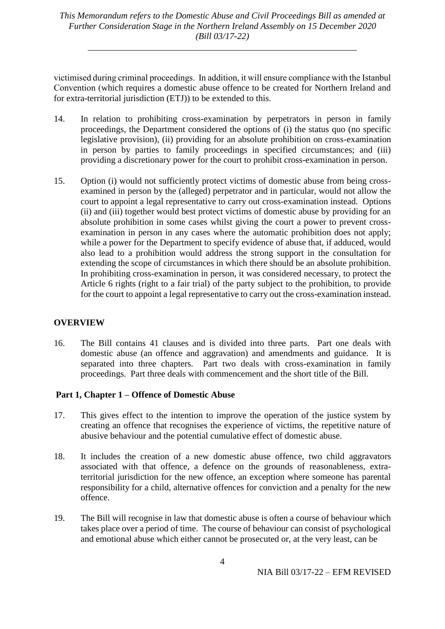\_\_\_\_\_\_\_\_\_\_\_\_\_\_\_\_\_\_\_\_\_\_\_\_\_\_\_\_\_\_\_\_\_\_\_\_\_\_\_\_\_\_\_\_\_\_\_\_\_\_\_\_\_\_\_\_\_\_\_\_

victimised during criminal proceedings. In addition, it will ensure compliance with the Istanbul Convention (which requires a domestic abuse offence to be created for Northern Ireland and for extra-territorial jurisdiction (ETJ)) to be extended to this.

- 14. In relation to prohibiting cross-examination by perpetrators in person in family proceedings, the Department considered the options of (i) the status quo (no specific legislative provision), (ii) providing for an absolute prohibition on cross-examination in person by parties to family proceedings in specified circumstances; and (iii) providing a discretionary power for the court to prohibit cross-examination in person.
- 15. Option (i) would not sufficiently protect victims of domestic abuse from being crossexamined in person by the (alleged) perpetrator and in particular, would not allow the court to appoint a legal representative to carry out cross-examination instead. Options (ii) and (iii) together would best protect victims of domestic abuse by providing for an absolute prohibition in some cases whilst giving the court a power to prevent crossexamination in person in any cases where the automatic prohibition does not apply; while a power for the Department to specify evidence of abuse that, if adduced, would also lead to a prohibition would address the strong support in the consultation for extending the scope of circumstances in which there should be an absolute prohibition. In prohibiting cross-examination in person, it was considered necessary, to protect the Article 6 rights (right to a fair trial) of the party subject to the prohibition, to provide for the court to appoint a legal representative to carry out the cross-examination instead.

#### **OVERVIEW**

16. The Bill contains 41 clauses and is divided into three parts. Part one deals with domestic abuse (an offence and aggravation) and amendments and guidance. It is separated into three chapters. Part two deals with cross-examination in family proceedings. Part three deals with commencement and the short title of the Bill.

## **Part 1, Chapter 1 – Offence of Domestic Abuse**

- 17. This gives effect to the intention to improve the operation of the justice system by creating an offence that recognises the experience of victims, the repetitive nature of abusive behaviour and the potential cumulative effect of domestic abuse.
- 18. It includes the creation of a new domestic abuse offence, two child aggravators associated with that offence, a defence on the grounds of reasonableness, extraterritorial jurisdiction for the new offence, an exception where someone has parental responsibility for a child, alternative offences for conviction and a penalty for the new offence.
- 19. The Bill will recognise in law that domestic abuse is often a course of behaviour which takes place over a period of time. The course of behaviour can consist of psychological and emotional abuse which either cannot be prosecuted or, at the very least, can be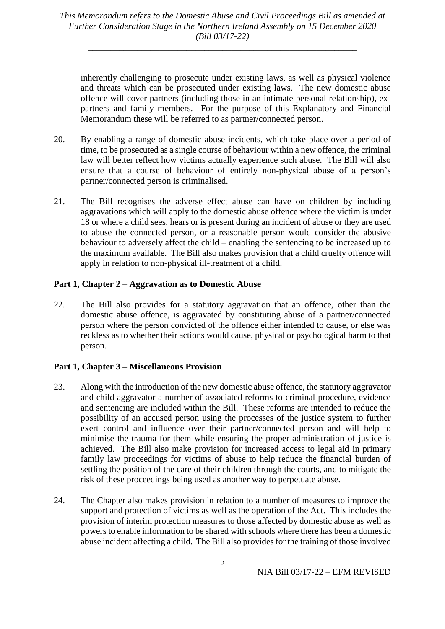inherently challenging to prosecute under existing laws, as well as physical violence and threats which can be prosecuted under existing laws. The new domestic abuse offence will cover partners (including those in an intimate personal relationship), expartners and family members. For the purpose of this Explanatory and Financial Memorandum these will be referred to as partner/connected person.

- 20. By enabling a range of domestic abuse incidents, which take place over a period of time, to be prosecuted as a single course of behaviour within a new offence, the criminal law will better reflect how victims actually experience such abuse. The Bill will also ensure that a course of behaviour of entirely non-physical abuse of a person's partner/connected person is criminalised.
- 21. The Bill recognises the adverse effect abuse can have on children by including aggravations which will apply to the domestic abuse offence where the victim is under 18 or where a child sees, hears or is present during an incident of abuse or they are used to abuse the connected person, or a reasonable person would consider the abusive behaviour to adversely affect the child – enabling the sentencing to be increased up to the maximum available. The Bill also makes provision that a child cruelty offence will apply in relation to non-physical ill-treatment of a child.

## **Part 1, Chapter 2 – Aggravation as to Domestic Abuse**

22. The Bill also provides for a statutory aggravation that an offence, other than the domestic abuse offence, is aggravated by constituting abuse of a partner/connected person where the person convicted of the offence either intended to cause, or else was reckless as to whether their actions would cause, physical or psychological harm to that person.

#### **Part 1, Chapter 3 – Miscellaneous Provision**

- 23. Along with the introduction of the new domestic abuse offence, the statutory aggravator and child aggravator a number of associated reforms to criminal procedure, evidence and sentencing are included within the Bill. These reforms are intended to reduce the possibility of an accused person using the processes of the justice system to further exert control and influence over their partner/connected person and will help to minimise the trauma for them while ensuring the proper administration of justice is achieved. The Bill also make provision for increased access to legal aid in primary family law proceedings for victims of abuse to help reduce the financial burden of settling the position of the care of their children through the courts, and to mitigate the risk of these proceedings being used as another way to perpetuate abuse.
- 24. The Chapter also makes provision in relation to a number of measures to improve the support and protection of victims as well as the operation of the Act. This includes the provision of interim protection measures to those affected by domestic abuse as well as powers to enable information to be shared with schools where there has been a domestic abuse incident affecting a child. The Bill also provides for the training of those involved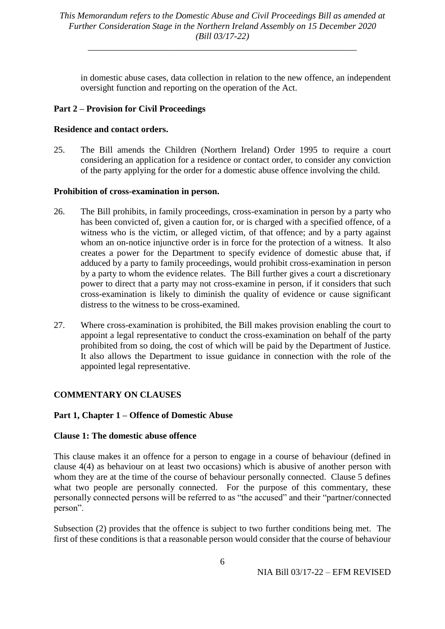in domestic abuse cases, data collection in relation to the new offence, an independent oversight function and reporting on the operation of the Act.

## **Part 2 – Provision for Civil Proceedings**

## **Residence and contact orders.**

25. The Bill amends the Children (Northern Ireland) Order 1995 to require a court considering an application for a residence or contact order, to consider any conviction of the party applying for the order for a domestic abuse offence involving the child.

## **Prohibition of cross-examination in person.**

- 26. The Bill prohibits, in family proceedings, cross-examination in person by a party who has been convicted of, given a caution for, or is charged with a specified offence, of a witness who is the victim, or alleged victim, of that offence; and by a party against whom an on-notice injunctive order is in force for the protection of a witness. It also creates a power for the Department to specify evidence of domestic abuse that, if adduced by a party to family proceedings, would prohibit cross-examination in person by a party to whom the evidence relates. The Bill further gives a court a discretionary power to direct that a party may not cross-examine in person, if it considers that such cross-examination is likely to diminish the quality of evidence or cause significant distress to the witness to be cross-examined.
- 27. Where cross-examination is prohibited, the Bill makes provision enabling the court to appoint a legal representative to conduct the cross-examination on behalf of the party prohibited from so doing, the cost of which will be paid by the Department of Justice. It also allows the Department to issue guidance in connection with the role of the appointed legal representative.

## **COMMENTARY ON CLAUSES**

## **Part 1, Chapter 1 – Offence of Domestic Abuse**

## **Clause 1: The domestic abuse offence**

This clause makes it an offence for a person to engage in a course of behaviour (defined in clause 4(4) as behaviour on at least two occasions) which is abusive of another person with whom they are at the time of the course of behaviour personally connected. Clause 5 defines what two people are personally connected. For the purpose of this commentary, these personally connected persons will be referred to as "the accused" and their "partner/connected person".

Subsection (2) provides that the offence is subject to two further conditions being met. The first of these conditions is that a reasonable person would consider that the course of behaviour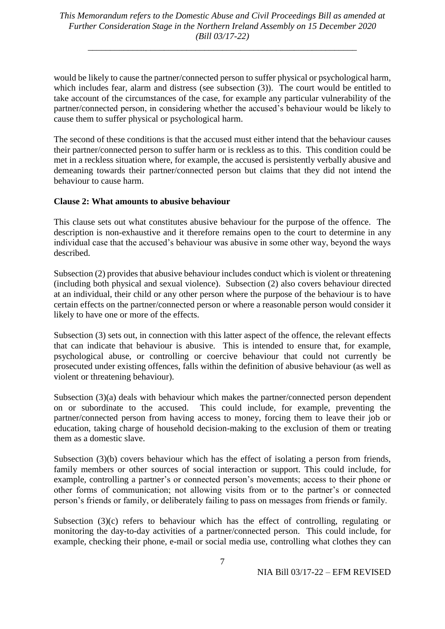\_\_\_\_\_\_\_\_\_\_\_\_\_\_\_\_\_\_\_\_\_\_\_\_\_\_\_\_\_\_\_\_\_\_\_\_\_\_\_\_\_\_\_\_\_\_\_\_\_\_\_\_\_\_\_\_\_\_\_\_

would be likely to cause the partner/connected person to suffer physical or psychological harm, which includes fear, alarm and distress (see subsection (3)). The court would be entitled to take account of the circumstances of the case, for example any particular vulnerability of the partner/connected person, in considering whether the accused's behaviour would be likely to cause them to suffer physical or psychological harm.

The second of these conditions is that the accused must either intend that the behaviour causes their partner/connected person to suffer harm or is reckless as to this. This condition could be met in a reckless situation where, for example, the accused is persistently verbally abusive and demeaning towards their partner/connected person but claims that they did not intend the behaviour to cause harm.

#### **Clause 2: What amounts to abusive behaviour**

This clause sets out what constitutes abusive behaviour for the purpose of the offence. The description is non-exhaustive and it therefore remains open to the court to determine in any individual case that the accused's behaviour was abusive in some other way, beyond the ways described.

Subsection (2) provides that abusive behaviour includes conduct which is violent or threatening (including both physical and sexual violence). Subsection (2) also covers behaviour directed at an individual, their child or any other person where the purpose of the behaviour is to have certain effects on the partner/connected person or where a reasonable person would consider it likely to have one or more of the effects.

Subsection (3) sets out, in connection with this latter aspect of the offence, the relevant effects that can indicate that behaviour is abusive. This is intended to ensure that, for example, psychological abuse, or controlling or coercive behaviour that could not currently be prosecuted under existing offences, falls within the definition of abusive behaviour (as well as violent or threatening behaviour).

Subsection (3)(a) deals with behaviour which makes the partner/connected person dependent on or subordinate to the accused. This could include, for example, preventing the partner/connected person from having access to money, forcing them to leave their job or education, taking charge of household decision-making to the exclusion of them or treating them as a domestic slave.

Subsection (3)(b) covers behaviour which has the effect of isolating a person from friends, family members or other sources of social interaction or support. This could include, for example, controlling a partner's or connected person's movements; access to their phone or other forms of communication; not allowing visits from or to the partner's or connected person's friends or family, or deliberately failing to pass on messages from friends or family.

Subsection (3)(c) refers to behaviour which has the effect of controlling, regulating or monitoring the day-to-day activities of a partner/connected person. This could include, for example, checking their phone, e-mail or social media use, controlling what clothes they can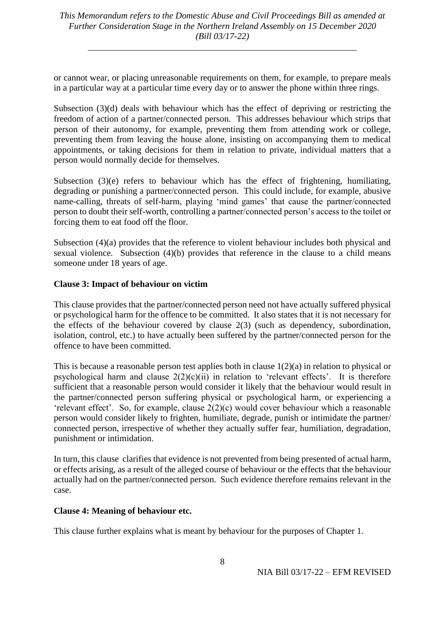\_\_\_\_\_\_\_\_\_\_\_\_\_\_\_\_\_\_\_\_\_\_\_\_\_\_\_\_\_\_\_\_\_\_\_\_\_\_\_\_\_\_\_\_\_\_\_\_\_\_\_\_\_\_\_\_\_\_\_\_

or cannot wear, or placing unreasonable requirements on them, for example, to prepare meals in a particular way at a particular time every day or to answer the phone within three rings.

Subsection (3)(d) deals with behaviour which has the effect of depriving or restricting the freedom of action of a partner/connected person. This addresses behaviour which strips that person of their autonomy, for example, preventing them from attending work or college, preventing them from leaving the house alone, insisting on accompanying them to medical appointments, or taking decisions for them in relation to private, individual matters that a person would normally decide for themselves.

Subsection (3)(e) refers to behaviour which has the effect of frightening, humiliating, degrading or punishing a partner/connected person. This could include, for example, abusive name-calling, threats of self-harm, playing 'mind games' that cause the partner/connected person to doubt their self-worth, controlling a partner/connected person's access to the toilet or forcing them to eat food off the floor.

Subsection (4)(a) provides that the reference to violent behaviour includes both physical and sexual violence. Subsection (4)(b) provides that reference in the clause to a child means someone under 18 years of age.

#### **Clause 3: Impact of behaviour on victim**

This clause provides that the partner/connected person need not have actually suffered physical or psychological harm for the offence to be committed. It also states that it is not necessary for the effects of the behaviour covered by clause 2(3) (such as dependency, subordination, isolation, control, etc.) to have actually been suffered by the partner/connected person for the offence to have been committed.

This is because a reasonable person test applies both in clause 1(2)(a) in relation to physical or psychological harm and clause  $2(2)(c)(ii)$  in relation to 'relevant effects'. It is therefore sufficient that a reasonable person would consider it likely that the behaviour would result in the partner/connected person suffering physical or psychological harm, or experiencing a 'relevant effect'. So, for example, clause 2(2)(c) would cover behaviour which a reasonable person would consider likely to frighten, humiliate, degrade, punish or intimidate the partner/ connected person, irrespective of whether they actually suffer fear, humiliation, degradation, punishment or intimidation.

In turn, this clause clarifies that evidence is not prevented from being presented of actual harm, or effects arising, as a result of the alleged course of behaviour or the effects that the behaviour actually had on the partner/connected person. Such evidence therefore remains relevant in the case.

#### **Clause 4: Meaning of behaviour etc.**

This clause further explains what is meant by behaviour for the purposes of Chapter 1.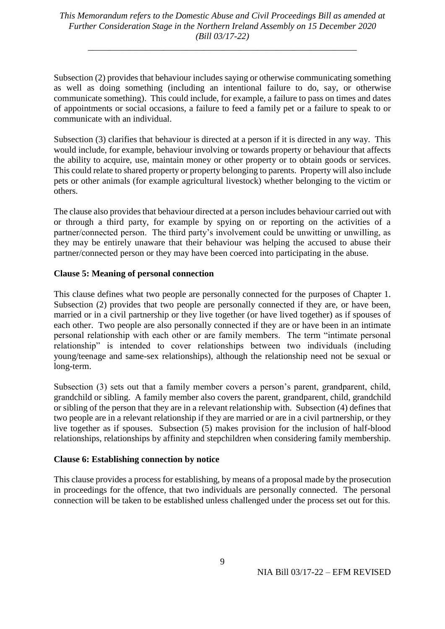\_\_\_\_\_\_\_\_\_\_\_\_\_\_\_\_\_\_\_\_\_\_\_\_\_\_\_\_\_\_\_\_\_\_\_\_\_\_\_\_\_\_\_\_\_\_\_\_\_\_\_\_\_\_\_\_\_\_\_\_

Subsection (2) provides that behaviour includes saying or otherwise communicating something as well as doing something (including an intentional failure to do, say, or otherwise communicate something). This could include, for example, a failure to pass on times and dates of appointments or social occasions, a failure to feed a family pet or a failure to speak to or communicate with an individual.

Subsection (3) clarifies that behaviour is directed at a person if it is directed in any way. This would include, for example, behaviour involving or towards property or behaviour that affects the ability to acquire, use, maintain money or other property or to obtain goods or services. This could relate to shared property or property belonging to parents. Property will also include pets or other animals (for example agricultural livestock) whether belonging to the victim or others.

The clause also provides that behaviour directed at a person includes behaviour carried out with or through a third party, for example by spying on or reporting on the activities of a partner/connected person. The third party's involvement could be unwitting or unwilling, as they may be entirely unaware that their behaviour was helping the accused to abuse their partner/connected person or they may have been coerced into participating in the abuse.

#### **Clause 5: Meaning of personal connection**

This clause defines what two people are personally connected for the purposes of Chapter 1. Subsection (2) provides that two people are personally connected if they are, or have been, married or in a civil partnership or they live together (or have lived together) as if spouses of each other. Two people are also personally connected if they are or have been in an intimate personal relationship with each other or are family members. The term "intimate personal relationship" is intended to cover relationships between two individuals (including young/teenage and same-sex relationships), although the relationship need not be sexual or long-term.

Subsection (3) sets out that a family member covers a person's parent, grandparent, child, grandchild or sibling. A family member also covers the parent, grandparent, child, grandchild or sibling of the person that they are in a relevant relationship with. Subsection (4) defines that two people are in a relevant relationship if they are married or are in a civil partnership, or they live together as if spouses. Subsection (5) makes provision for the inclusion of half-blood relationships, relationships by affinity and stepchildren when considering family membership.

#### **Clause 6: Establishing connection by notice**

This clause provides a process for establishing, by means of a proposal made by the prosecution in proceedings for the offence, that two individuals are personally connected. The personal connection will be taken to be established unless challenged under the process set out for this.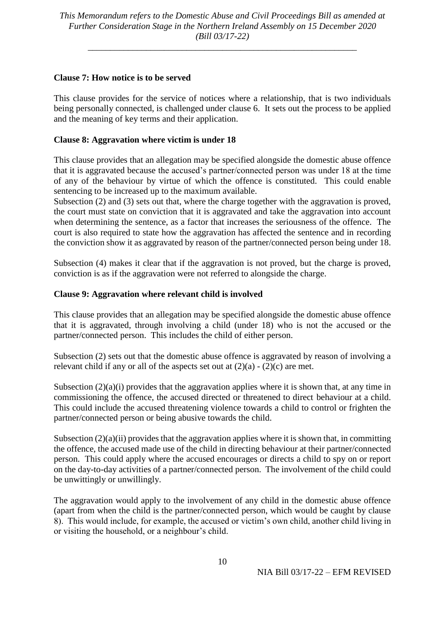\_\_\_\_\_\_\_\_\_\_\_\_\_\_\_\_\_\_\_\_\_\_\_\_\_\_\_\_\_\_\_\_\_\_\_\_\_\_\_\_\_\_\_\_\_\_\_\_\_\_\_\_\_\_\_\_\_\_\_\_

### **Clause 7: How notice is to be served**

This clause provides for the service of notices where a relationship, that is two individuals being personally connected, is challenged under clause 6. It sets out the process to be applied and the meaning of key terms and their application.

### **Clause 8: Aggravation where victim is under 18**

This clause provides that an allegation may be specified alongside the domestic abuse offence that it is aggravated because the accused's partner/connected person was under 18 at the time of any of the behaviour by virtue of which the offence is constituted. This could enable sentencing to be increased up to the maximum available.

Subsection (2) and (3) sets out that, where the charge together with the aggravation is proved, the court must state on conviction that it is aggravated and take the aggravation into account when determining the sentence, as a factor that increases the seriousness of the offence. The court is also required to state how the aggravation has affected the sentence and in recording the conviction show it as aggravated by reason of the partner/connected person being under 18.

Subsection (4) makes it clear that if the aggravation is not proved, but the charge is proved, conviction is as if the aggravation were not referred to alongside the charge.

#### **Clause 9: Aggravation where relevant child is involved**

This clause provides that an allegation may be specified alongside the domestic abuse offence that it is aggravated, through involving a child (under 18) who is not the accused or the partner/connected person. This includes the child of either person.

Subsection (2) sets out that the domestic abuse offence is aggravated by reason of involving a relevant child if any or all of the aspects set out at  $(2)(a) - (2)(c)$  are met.

Subsection (2)(a)(i) provides that the aggravation applies where it is shown that, at any time in commissioning the offence, the accused directed or threatened to direct behaviour at a child. This could include the accused threatening violence towards a child to control or frighten the partner/connected person or being abusive towards the child.

Subsection  $(2)(a)(ii)$  provides that the aggravation applies where it is shown that, in committing the offence, the accused made use of the child in directing behaviour at their partner/connected person. This could apply where the accused encourages or directs a child to spy on or report on the day-to-day activities of a partner/connected person. The involvement of the child could be unwittingly or unwillingly.

The aggravation would apply to the involvement of any child in the domestic abuse offence (apart from when the child is the partner/connected person, which would be caught by clause 8). This would include, for example, the accused or victim's own child, another child living in or visiting the household, or a neighbour's child.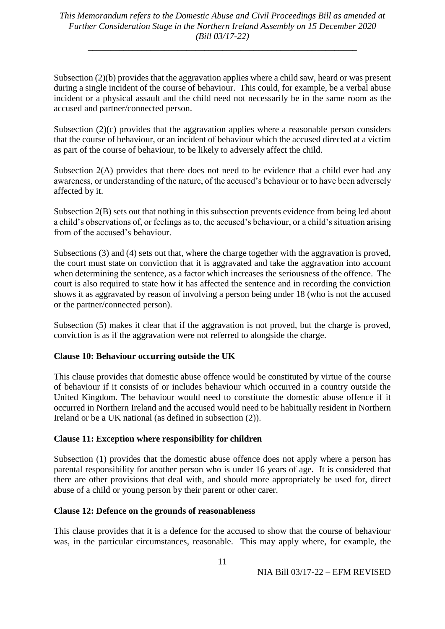Subsection (2)(b) provides that the aggravation applies where a child saw, heard or was present during a single incident of the course of behaviour. This could, for example, be a verbal abuse incident or a physical assault and the child need not necessarily be in the same room as the accused and partner/connected person.

Subsection  $(2)(c)$  provides that the aggravation applies where a reasonable person considers that the course of behaviour, or an incident of behaviour which the accused directed at a victim as part of the course of behaviour, to be likely to adversely affect the child.

Subsection 2(A) provides that there does not need to be evidence that a child ever had any awareness, or understanding of the nature, of the accused's behaviour or to have been adversely affected by it.

Subsection 2(B) sets out that nothing in this subsection prevents evidence from being led about a child's observations of, or feelings as to, the accused's behaviour, or a child's situation arising from of the accused's behaviour.

Subsections (3) and (4) sets out that, where the charge together with the aggravation is proved, the court must state on conviction that it is aggravated and take the aggravation into account when determining the sentence, as a factor which increases the seriousness of the offence. The court is also required to state how it has affected the sentence and in recording the conviction shows it as aggravated by reason of involving a person being under 18 (who is not the accused or the partner/connected person).

Subsection (5) makes it clear that if the aggravation is not proved, but the charge is proved, conviction is as if the aggravation were not referred to alongside the charge.

## **Clause 10: Behaviour occurring outside the UK**

This clause provides that domestic abuse offence would be constituted by virtue of the course of behaviour if it consists of or includes behaviour which occurred in a country outside the United Kingdom. The behaviour would need to constitute the domestic abuse offence if it occurred in Northern Ireland and the accused would need to be habitually resident in Northern Ireland or be a UK national (as defined in subsection (2)).

## **Clause 11: Exception where responsibility for children**

Subsection (1) provides that the domestic abuse offence does not apply where a person has parental responsibility for another person who is under 16 years of age. It is considered that there are other provisions that deal with, and should more appropriately be used for, direct abuse of a child or young person by their parent or other carer.

#### **Clause 12: Defence on the grounds of reasonableness**

This clause provides that it is a defence for the accused to show that the course of behaviour was, in the particular circumstances, reasonable. This may apply where, for example, the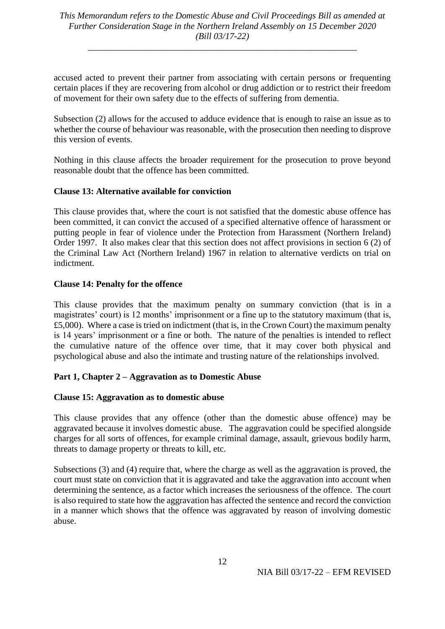\_\_\_\_\_\_\_\_\_\_\_\_\_\_\_\_\_\_\_\_\_\_\_\_\_\_\_\_\_\_\_\_\_\_\_\_\_\_\_\_\_\_\_\_\_\_\_\_\_\_\_\_\_\_\_\_\_\_\_\_

accused acted to prevent their partner from associating with certain persons or frequenting certain places if they are recovering from alcohol or drug addiction or to restrict their freedom of movement for their own safety due to the effects of suffering from dementia.

Subsection (2) allows for the accused to adduce evidence that is enough to raise an issue as to whether the course of behaviour was reasonable, with the prosecution then needing to disprove this version of events.

Nothing in this clause affects the broader requirement for the prosecution to prove beyond reasonable doubt that the offence has been committed.

#### **Clause 13: Alternative available for conviction**

This clause provides that, where the court is not satisfied that the domestic abuse offence has been committed, it can convict the accused of a specified alternative offence of harassment or putting people in fear of violence under the Protection from Harassment (Northern Ireland) Order 1997. It also makes clear that this section does not affect provisions in section 6 (2) of the Criminal Law Act (Northern Ireland) 1967 in relation to alternative verdicts on trial on indictment.

#### **Clause 14: Penalty for the offence**

This clause provides that the maximum penalty on summary conviction (that is in a magistrates' court) is 12 months' imprisonment or a fine up to the statutory maximum (that is, £5,000). Where a case is tried on indictment (that is, in the Crown Court) the maximum penalty is 14 years' imprisonment or a fine or both. The nature of the penalties is intended to reflect the cumulative nature of the offence over time, that it may cover both physical and psychological abuse and also the intimate and trusting nature of the relationships involved.

#### **Part 1, Chapter 2 – Aggravation as to Domestic Abuse**

#### **Clause 15: Aggravation as to domestic abuse**

This clause provides that any offence (other than the domestic abuse offence) may be aggravated because it involves domestic abuse. The aggravation could be specified alongside charges for all sorts of offences, for example criminal damage, assault, grievous bodily harm, threats to damage property or threats to kill, etc.

Subsections (3) and (4) require that, where the charge as well as the aggravation is proved, the court must state on conviction that it is aggravated and take the aggravation into account when determining the sentence, as a factor which increases the seriousness of the offence. The court is also required to state how the aggravation has affected the sentence and record the conviction in a manner which shows that the offence was aggravated by reason of involving domestic abuse.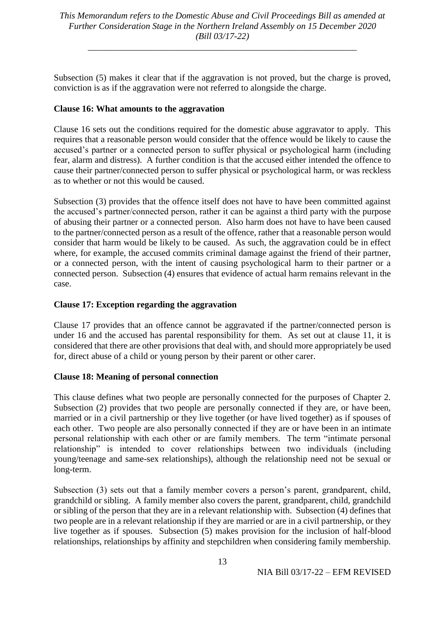\_\_\_\_\_\_\_\_\_\_\_\_\_\_\_\_\_\_\_\_\_\_\_\_\_\_\_\_\_\_\_\_\_\_\_\_\_\_\_\_\_\_\_\_\_\_\_\_\_\_\_\_\_\_\_\_\_\_\_\_

Subsection (5) makes it clear that if the aggravation is not proved, but the charge is proved, conviction is as if the aggravation were not referred to alongside the charge.

#### **Clause 16: What amounts to the aggravation**

Clause 16 sets out the conditions required for the domestic abuse aggravator to apply. This requires that a reasonable person would consider that the offence would be likely to cause the accused's partner or a connected person to suffer physical or psychological harm (including fear, alarm and distress). A further condition is that the accused either intended the offence to cause their partner/connected person to suffer physical or psychological harm, or was reckless as to whether or not this would be caused.

Subsection (3) provides that the offence itself does not have to have been committed against the accused's partner/connected person, rather it can be against a third party with the purpose of abusing their partner or a connected person. Also harm does not have to have been caused to the partner/connected person as a result of the offence, rather that a reasonable person would consider that harm would be likely to be caused. As such, the aggravation could be in effect where, for example, the accused commits criminal damage against the friend of their partner, or a connected person, with the intent of causing psychological harm to their partner or a connected person. Subsection (4) ensures that evidence of actual harm remains relevant in the case.

#### **Clause 17: Exception regarding the aggravation**

Clause 17 provides that an offence cannot be aggravated if the partner/connected person is under 16 and the accused has parental responsibility for them. As set out at clause 11, it is considered that there are other provisions that deal with, and should more appropriately be used for, direct abuse of a child or young person by their parent or other carer.

## **Clause 18: Meaning of personal connection**

This clause defines what two people are personally connected for the purposes of Chapter 2. Subsection (2) provides that two people are personally connected if they are, or have been, married or in a civil partnership or they live together (or have lived together) as if spouses of each other. Two people are also personally connected if they are or have been in an intimate personal relationship with each other or are family members. The term "intimate personal relationship" is intended to cover relationships between two individuals (including young/teenage and same-sex relationships), although the relationship need not be sexual or long-term.

Subsection (3) sets out that a family member covers a person's parent, grandparent, child, grandchild or sibling. A family member also covers the parent, grandparent, child, grandchild or sibling of the person that they are in a relevant relationship with. Subsection (4) defines that two people are in a relevant relationship if they are married or are in a civil partnership, or they live together as if spouses. Subsection (5) makes provision for the inclusion of half-blood relationships, relationships by affinity and stepchildren when considering family membership.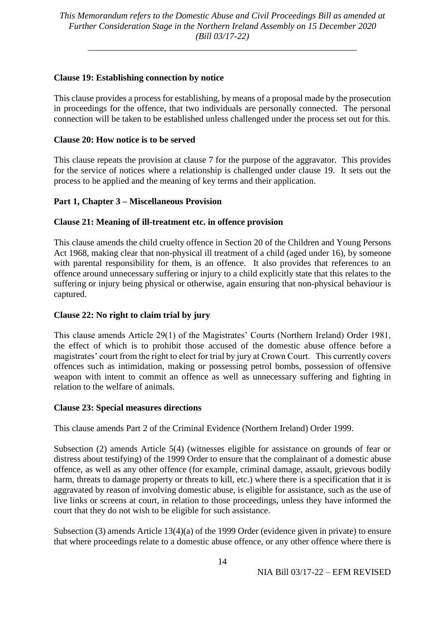\_\_\_\_\_\_\_\_\_\_\_\_\_\_\_\_\_\_\_\_\_\_\_\_\_\_\_\_\_\_\_\_\_\_\_\_\_\_\_\_\_\_\_\_\_\_\_\_\_\_\_\_\_\_\_\_\_\_\_\_

## **Clause 19: Establishing connection by notice**

This clause provides a process for establishing, by means of a proposal made by the prosecution in proceedings for the offence, that two individuals are personally connected. The personal connection will be taken to be established unless challenged under the process set out for this.

#### **Clause 20: How notice is to be served**

This clause repeats the provision at clause 7 for the purpose of the aggravator. This provides for the service of notices where a relationship is challenged under clause 19. It sets out the process to be applied and the meaning of key terms and their application.

#### **Part 1, Chapter 3 – Miscellaneous Provision**

#### **Clause 21: Meaning of ill-treatment etc. in offence provision**

This clause amends the child cruelty offence in Section 20 of the Children and Young Persons Act 1968, making clear that non-physical ill treatment of a child (aged under 16), by someone with parental responsibility for them, is an offence. It also provides that references to an offence around unnecessary suffering or injury to a child explicitly state that this relates to the suffering or injury being physical or otherwise, again ensuring that non-physical behaviour is captured.

#### **Clause 22: No right to claim trial by jury**

This clause amends Article 29(1) of the Magistrates' Courts (Northern Ireland) Order 1981, the effect of which is to prohibit those accused of the domestic abuse offence before a magistrates' court from the right to elect for trial by jury at Crown Court. This currently covers offences such as intimidation, making or possessing petrol bombs, possession of offensive weapon with intent to commit an offence as well as unnecessary suffering and fighting in relation to the welfare of animals.

#### **Clause 23: Special measures directions**

This clause amends Part 2 of the Criminal Evidence (Northern Ireland) Order 1999.

Subsection (2) amends Article 5(4) (witnesses eligible for assistance on grounds of fear or distress about testifying) of the 1999 Order to ensure that the complainant of a domestic abuse offence, as well as any other offence (for example, criminal damage, assault, grievous bodily harm, threats to damage property or threats to kill, etc.) where there is a specification that it is aggravated by reason of involving domestic abuse, is eligible for assistance, such as the use of live links or screens at court, in relation to those proceedings, unless they have informed the court that they do not wish to be eligible for such assistance.

Subsection (3) amends Article 13(4)(a) of the 1999 Order (evidence given in private) to ensure that where proceedings relate to a domestic abuse offence, or any other offence where there is

NIA Bill 03/17-22 – EFM REVISED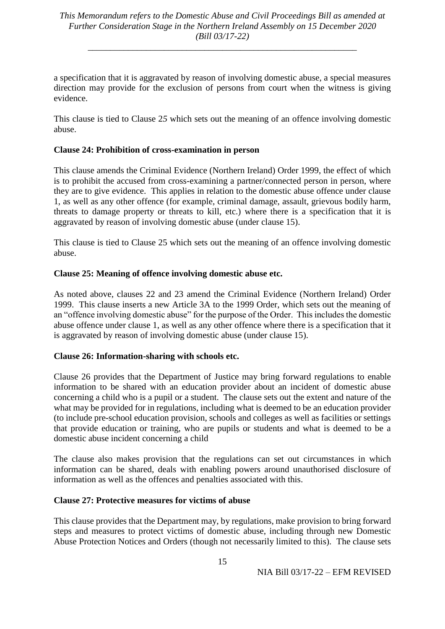\_\_\_\_\_\_\_\_\_\_\_\_\_\_\_\_\_\_\_\_\_\_\_\_\_\_\_\_\_\_\_\_\_\_\_\_\_\_\_\_\_\_\_\_\_\_\_\_\_\_\_\_\_\_\_\_\_\_\_\_

a specification that it is aggravated by reason of involving domestic abuse, a special measures direction may provide for the exclusion of persons from court when the witness is giving evidence.

This clause is tied to Clause 2*5* which sets out the meaning of an offence involving domestic abuse.

#### **Clause 24: Prohibition of cross-examination in person**

This clause amends the Criminal Evidence (Northern Ireland) Order 1999, the effect of which is to prohibit the accused from cross-examining a partner/connected person in person, where they are to give evidence. This applies in relation to the domestic abuse offence under clause 1, as well as any other offence (for example, criminal damage, assault, grievous bodily harm, threats to damage property or threats to kill, etc.) where there is a specification that it is aggravated by reason of involving domestic abuse (under clause 15).

This clause is tied to Clause 25 which sets out the meaning of an offence involving domestic abuse.

#### **Clause 25: Meaning of offence involving domestic abuse etc.**

As noted above, clauses 22 and 23 amend the Criminal Evidence (Northern Ireland) Order 1999. This clause inserts a new Article 3A to the 1999 Order, which sets out the meaning of an "offence involving domestic abuse" for the purpose of the Order. This includes the domestic abuse offence under clause 1, as well as any other offence where there is a specification that it is aggravated by reason of involving domestic abuse (under clause 15).

#### **Clause 26: Information-sharing with schools etc.**

Clause 26 provides that the Department of Justice may bring forward regulations to enable information to be shared with an education provider about an incident of domestic abuse concerning a child who is a pupil or a student. The clause sets out the extent and nature of the what may be provided for in regulations, including what is deemed to be an education provider (to include pre-school education provision, schools and colleges as well as facilities or settings that provide education or training, who are pupils or students and what is deemed to be a domestic abuse incident concerning a child

The clause also makes provision that the regulations can set out circumstances in which information can be shared, deals with enabling powers around unauthorised disclosure of information as well as the offences and penalties associated with this.

#### **Clause 27: Protective measures for victims of abuse**

This clause provides that the Department may, by regulations, make provision to bring forward steps and measures to protect victims of domestic abuse, including through new Domestic Abuse Protection Notices and Orders (though not necessarily limited to this). The clause sets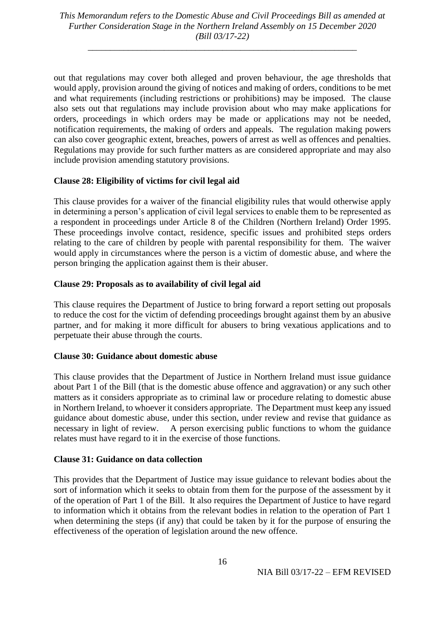\_\_\_\_\_\_\_\_\_\_\_\_\_\_\_\_\_\_\_\_\_\_\_\_\_\_\_\_\_\_\_\_\_\_\_\_\_\_\_\_\_\_\_\_\_\_\_\_\_\_\_\_\_\_\_\_\_\_\_\_

out that regulations may cover both alleged and proven behaviour, the age thresholds that would apply, provision around the giving of notices and making of orders, conditions to be met and what requirements (including restrictions or prohibitions) may be imposed. The clause also sets out that regulations may include provision about who may make applications for orders, proceedings in which orders may be made or applications may not be needed, notification requirements, the making of orders and appeals. The regulation making powers can also cover geographic extent, breaches, powers of arrest as well as offences and penalties. Regulations may provide for such further matters as are considered appropriate and may also include provision amending statutory provisions.

#### **Clause 28: Eligibility of victims for civil legal aid**

This clause provides for a waiver of the financial eligibility rules that would otherwise apply in determining a person's application of civil legal services to enable them to be represented as a respondent in proceedings under Article 8 of the Children (Northern Ireland) Order 1995. These proceedings involve contact, residence, specific issues and prohibited steps orders relating to the care of children by people with parental responsibility for them. The waiver would apply in circumstances where the person is a victim of domestic abuse, and where the person bringing the application against them is their abuser.

#### **Clause 29: Proposals as to availability of civil legal aid**

This clause requires the Department of Justice to bring forward a report setting out proposals to reduce the cost for the victim of defending proceedings brought against them by an abusive partner, and for making it more difficult for abusers to bring vexatious applications and to perpetuate their abuse through the courts.

#### **Clause 30: Guidance about domestic abuse**

This clause provides that the Department of Justice in Northern Ireland must issue guidance about Part 1 of the Bill (that is the domestic abuse offence and aggravation) or any such other matters as it considers appropriate as to criminal law or procedure relating to domestic abuse in Northern Ireland, to whoever it considers appropriate. The Department must keep any issued guidance about domestic abuse, under this section, under review and revise that guidance as necessary in light of review. A person exercising public functions to whom the guidance relates must have regard to it in the exercise of those functions.

#### **Clause 31: Guidance on data collection**

This provides that the Department of Justice may issue guidance to relevant bodies about the sort of information which it seeks to obtain from them for the purpose of the assessment by it of the operation of Part 1 of the Bill. It also requires the Department of Justice to have regard to information which it obtains from the relevant bodies in relation to the operation of Part 1 when determining the steps (if any) that could be taken by it for the purpose of ensuring the effectiveness of the operation of legislation around the new offence.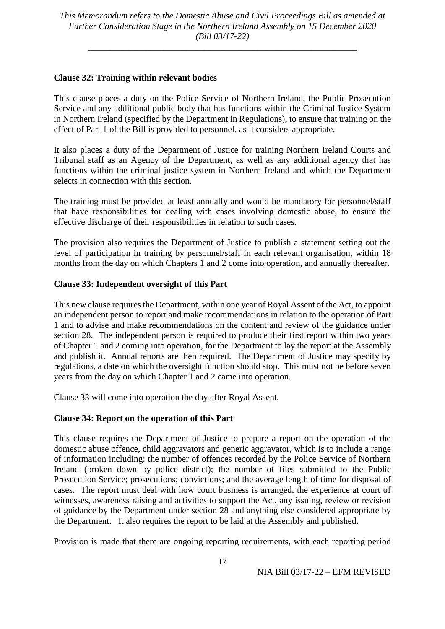\_\_\_\_\_\_\_\_\_\_\_\_\_\_\_\_\_\_\_\_\_\_\_\_\_\_\_\_\_\_\_\_\_\_\_\_\_\_\_\_\_\_\_\_\_\_\_\_\_\_\_\_\_\_\_\_\_\_\_\_

#### **Clause 32: Training within relevant bodies**

This clause places a duty on the Police Service of Northern Ireland, the Public Prosecution Service and any additional public body that has functions within the Criminal Justice System in Northern Ireland (specified by the Department in Regulations), to ensure that training on the effect of Part 1 of the Bill is provided to personnel, as it considers appropriate.

It also places a duty of the Department of Justice for training Northern Ireland Courts and Tribunal staff as an Agency of the Department, as well as any additional agency that has functions within the criminal justice system in Northern Ireland and which the Department selects in connection with this section.

The training must be provided at least annually and would be mandatory for personnel/staff that have responsibilities for dealing with cases involving domestic abuse, to ensure the effective discharge of their responsibilities in relation to such cases.

The provision also requires the Department of Justice to publish a statement setting out the level of participation in training by personnel/staff in each relevant organisation, within 18 months from the day on which Chapters 1 and 2 come into operation, and annually thereafter.

## **Clause 33: Independent oversight of this Part**

This new clause requires the Department, within one year of Royal Assent of the Act, to appoint an independent person to report and make recommendations in relation to the operation of Part 1 and to advise and make recommendations on the content and review of the guidance under section 28. The independent person is required to produce their first report within two years of Chapter 1 and 2 coming into operation, for the Department to lay the report at the Assembly and publish it. Annual reports are then required. The Department of Justice may specify by regulations, a date on which the oversight function should stop. This must not be before seven years from the day on which Chapter 1 and 2 came into operation.

Clause 33 will come into operation the day after Royal Assent.

## **Clause 34: Report on the operation of this Part**

This clause requires the Department of Justice to prepare a report on the operation of the domestic abuse offence, child aggravators and generic aggravator, which is to include a range of information including: the number of offences recorded by the Police Service of Northern Ireland (broken down by police district); the number of files submitted to the Public Prosecution Service; prosecutions; convictions; and the average length of time for disposal of cases. The report must deal with how court business is arranged, the experience at court of witnesses, awareness raising and activities to support the Act, any issuing, review or revision of guidance by the Department under section 28 and anything else considered appropriate by the Department. It also requires the report to be laid at the Assembly and published.

Provision is made that there are ongoing reporting requirements, with each reporting period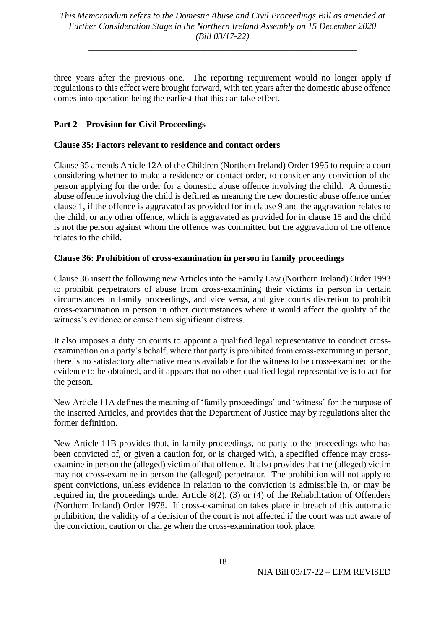\_\_\_\_\_\_\_\_\_\_\_\_\_\_\_\_\_\_\_\_\_\_\_\_\_\_\_\_\_\_\_\_\_\_\_\_\_\_\_\_\_\_\_\_\_\_\_\_\_\_\_\_\_\_\_\_\_\_\_\_

three years after the previous one. The reporting requirement would no longer apply if regulations to this effect were brought forward, with ten years after the domestic abuse offence comes into operation being the earliest that this can take effect.

### **Part 2 – Provision for Civil Proceedings**

#### **Clause 35: Factors relevant to residence and contact orders**

Clause 35 amends Article 12A of the Children (Northern Ireland) Order 1995 to require a court considering whether to make a residence or contact order, to consider any conviction of the person applying for the order for a domestic abuse offence involving the child. A domestic abuse offence involving the child is defined as meaning the new domestic abuse offence under clause 1, if the offence is aggravated as provided for in clause 9 and the aggravation relates to the child, or any other offence, which is aggravated as provided for in clause 15 and the child is not the person against whom the offence was committed but the aggravation of the offence relates to the child.

#### **Clause 36: Prohibition of cross-examination in person in family proceedings**

Clause 36 insert the following new Articles into the Family Law (Northern Ireland) Order 1993 to prohibit perpetrators of abuse from cross-examining their victims in person in certain circumstances in family proceedings, and vice versa, and give courts discretion to prohibit cross-examination in person in other circumstances where it would affect the quality of the witness's evidence or cause them significant distress.

It also imposes a duty on courts to appoint a qualified legal representative to conduct crossexamination on a party's behalf, where that party is prohibited from cross-examining in person, there is no satisfactory alternative means available for the witness to be cross-examined or the evidence to be obtained, and it appears that no other qualified legal representative is to act for the person.

New Article 11A defines the meaning of 'family proceedings' and 'witness' for the purpose of the inserted Articles, and provides that the Department of Justice may by regulations alter the former definition.

New Article 11B provides that, in family proceedings, no party to the proceedings who has been convicted of, or given a caution for, or is charged with, a specified offence may crossexamine in person the (alleged) victim of that offence. It also provides that the (alleged) victim may not cross-examine in person the (alleged) perpetrator. The prohibition will not apply to spent convictions, unless evidence in relation to the conviction is admissible in, or may be required in, the proceedings under Article 8(2), (3) or (4) of the Rehabilitation of Offenders (Northern Ireland) Order 1978. If cross-examination takes place in breach of this automatic prohibition, the validity of a decision of the court is not affected if the court was not aware of the conviction, caution or charge when the cross-examination took place.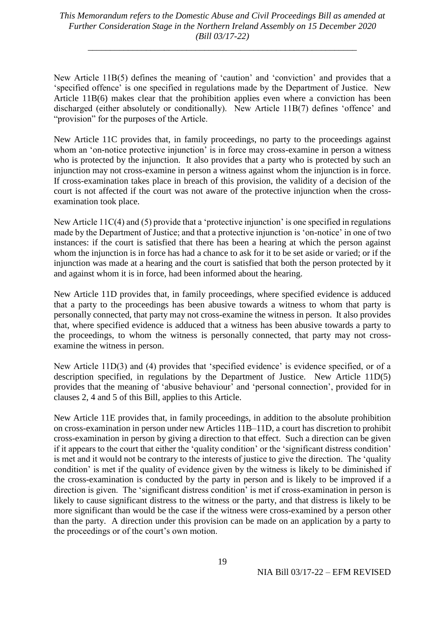\_\_\_\_\_\_\_\_\_\_\_\_\_\_\_\_\_\_\_\_\_\_\_\_\_\_\_\_\_\_\_\_\_\_\_\_\_\_\_\_\_\_\_\_\_\_\_\_\_\_\_\_\_\_\_\_\_\_\_\_

New Article 11B(5) defines the meaning of 'caution' and 'conviction' and provides that a 'specified offence' is one specified in regulations made by the Department of Justice. New Article 11B(6) makes clear that the prohibition applies even where a conviction has been discharged (either absolutely or conditionally). New Article 11B(7) defines 'offence' and "provision" for the purposes of the Article.

New Article 11C provides that, in family proceedings, no party to the proceedings against whom an 'on-notice protective injunction' is in force may cross-examine in person a witness who is protected by the injunction. It also provides that a party who is protected by such an injunction may not cross-examine in person a witness against whom the injunction is in force. If cross-examination takes place in breach of this provision, the validity of a decision of the court is not affected if the court was not aware of the protective injunction when the crossexamination took place.

New Article 11C(4) and (5) provide that a 'protective injunction' is one specified in regulations made by the Department of Justice; and that a protective injunction is 'on-notice' in one of two instances: if the court is satisfied that there has been a hearing at which the person against whom the injunction is in force has had a chance to ask for it to be set aside or varied; or if the injunction was made at a hearing and the court is satisfied that both the person protected by it and against whom it is in force, had been informed about the hearing.

New Article 11D provides that, in family proceedings, where specified evidence is adduced that a party to the proceedings has been abusive towards a witness to whom that party is personally connected, that party may not cross-examine the witness in person. It also provides that, where specified evidence is adduced that a witness has been abusive towards a party to the proceedings, to whom the witness is personally connected, that party may not crossexamine the witness in person.

New Article 11D(3) and (4) provides that 'specified evidence' is evidence specified, or of a description specified, in regulations by the Department of Justice. New Article 11D(5) provides that the meaning of 'abusive behaviour' and 'personal connection', provided for in clauses 2, 4 and 5 of this Bill, applies to this Article.

New Article 11E provides that, in family proceedings, in addition to the absolute prohibition on cross-examination in person under new Articles 11B–11D, a court has discretion to prohibit cross-examination in person by giving a direction to that effect. Such a direction can be given if it appears to the court that either the 'quality condition' or the 'significant distress condition' is met and it would not be contrary to the interests of justice to give the direction. The 'quality condition' is met if the quality of evidence given by the witness is likely to be diminished if the cross-examination is conducted by the party in person and is likely to be improved if a direction is given. The 'significant distress condition' is met if cross-examination in person is likely to cause significant distress to the witness or the party, and that distress is likely to be more significant than would be the case if the witness were cross-examined by a person other than the party. A direction under this provision can be made on an application by a party to the proceedings or of the court's own motion.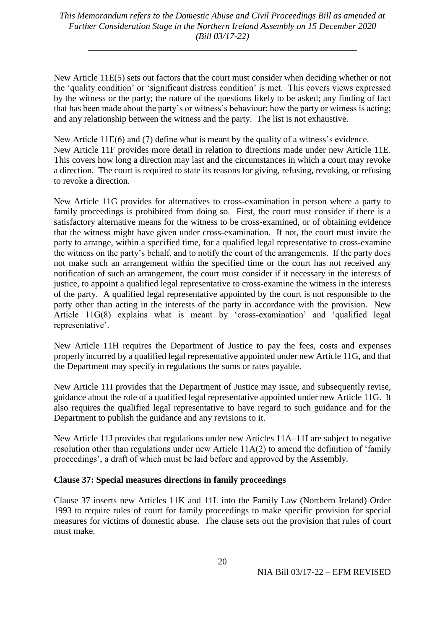\_\_\_\_\_\_\_\_\_\_\_\_\_\_\_\_\_\_\_\_\_\_\_\_\_\_\_\_\_\_\_\_\_\_\_\_\_\_\_\_\_\_\_\_\_\_\_\_\_\_\_\_\_\_\_\_\_\_\_\_

New Article 11E(5) sets out factors that the court must consider when deciding whether or not the 'quality condition' or 'significant distress condition' is met. This covers views expressed by the witness or the party; the nature of the questions likely to be asked; any finding of fact that has been made about the party's or witness's behaviour; how the party or witness is acting; and any relationship between the witness and the party. The list is not exhaustive.

New Article 11E(6) and (7) define what is meant by the quality of a witness's evidence. New Article 11F provides more detail in relation to directions made under new Article 11E. This covers how long a direction may last and the circumstances in which a court may revoke a direction. The court is required to state its reasons for giving, refusing, revoking, or refusing to revoke a direction.

New Article 11G provides for alternatives to cross-examination in person where a party to family proceedings is prohibited from doing so. First, the court must consider if there is a satisfactory alternative means for the witness to be cross-examined, or of obtaining evidence that the witness might have given under cross-examination. If not, the court must invite the party to arrange, within a specified time, for a qualified legal representative to cross-examine the witness on the party's behalf, and to notify the court of the arrangements. If the party does not make such an arrangement within the specified time or the court has not received any notification of such an arrangement, the court must consider if it necessary in the interests of justice, to appoint a qualified legal representative to cross-examine the witness in the interests of the party. A qualified legal representative appointed by the court is not responsible to the party other than acting in the interests of the party in accordance with the provision. New Article 11G(8) explains what is meant by 'cross-examination' and 'qualified legal representative'.

New Article 11H requires the Department of Justice to pay the fees, costs and expenses properly incurred by a qualified legal representative appointed under new Article 11G, and that the Department may specify in regulations the sums or rates payable.

New Article 11I provides that the Department of Justice may issue, and subsequently revise, guidance about the role of a qualified legal representative appointed under new Article 11G. It also requires the qualified legal representative to have regard to such guidance and for the Department to publish the guidance and any revisions to it.

New Article 11J provides that regulations under new Articles 11A–11I are subject to negative resolution other than regulations under new Article 11A(2) to amend the definition of 'family proceedings', a draft of which must be laid before and approved by the Assembly.

## **Clause 37: Special measures directions in family proceedings**

Clause 37 inserts new Articles 11K and 11L into the Family Law (Northern Ireland) Order 1993 to require rules of court for family proceedings to make specific provision for special measures for victims of domestic abuse. The clause sets out the provision that rules of court must make.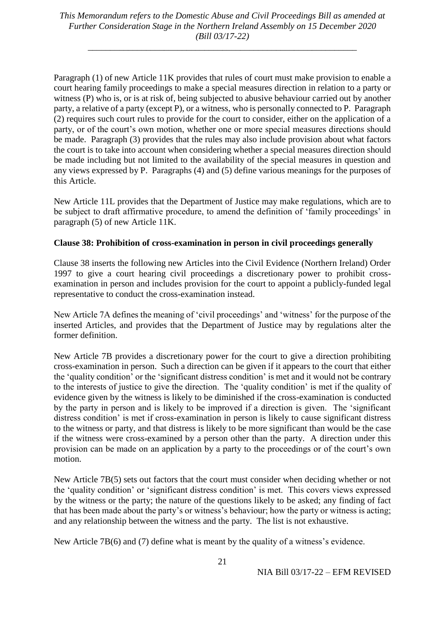\_\_\_\_\_\_\_\_\_\_\_\_\_\_\_\_\_\_\_\_\_\_\_\_\_\_\_\_\_\_\_\_\_\_\_\_\_\_\_\_\_\_\_\_\_\_\_\_\_\_\_\_\_\_\_\_\_\_\_\_

Paragraph (1) of new Article 11K provides that rules of court must make provision to enable a court hearing family proceedings to make a special measures direction in relation to a party or witness (P) who is, or is at risk of, being subjected to abusive behaviour carried out by another party, a relative of a party (except P), or a witness, who is personally connected to P. Paragraph (2) requires such court rules to provide for the court to consider, either on the application of a party, or of the court's own motion, whether one or more special measures directions should be made. Paragraph (3) provides that the rules may also include provision about what factors the court is to take into account when considering whether a special measures direction should be made including but not limited to the availability of the special measures in question and any views expressed by P. Paragraphs (4) and (5) define various meanings for the purposes of this Article.

New Article 11L provides that the Department of Justice may make regulations, which are to be subject to draft affirmative procedure, to amend the definition of 'family proceedings' in paragraph (5) of new Article 11K.

#### **Clause 38: Prohibition of cross-examination in person in civil proceedings generally**

Clause 38 inserts the following new Articles into the Civil Evidence (Northern Ireland) Order 1997 to give a court hearing civil proceedings a discretionary power to prohibit crossexamination in person and includes provision for the court to appoint a publicly-funded legal representative to conduct the cross-examination instead.

New Article 7A defines the meaning of 'civil proceedings' and 'witness' for the purpose of the inserted Articles, and provides that the Department of Justice may by regulations alter the former definition.

New Article 7B provides a discretionary power for the court to give a direction prohibiting cross-examination in person. Such a direction can be given if it appears to the court that either the 'quality condition' or the 'significant distress condition' is met and it would not be contrary to the interests of justice to give the direction. The 'quality condition' is met if the quality of evidence given by the witness is likely to be diminished if the cross-examination is conducted by the party in person and is likely to be improved if a direction is given. The 'significant distress condition' is met if cross-examination in person is likely to cause significant distress to the witness or party, and that distress is likely to be more significant than would be the case if the witness were cross-examined by a person other than the party. A direction under this provision can be made on an application by a party to the proceedings or of the court's own motion.

New Article 7B(5) sets out factors that the court must consider when deciding whether or not the 'quality condition' or 'significant distress condition' is met. This covers views expressed by the witness or the party; the nature of the questions likely to be asked; any finding of fact that has been made about the party's or witness's behaviour; how the party or witness is acting; and any relationship between the witness and the party. The list is not exhaustive.

New Article 7B(6) and (7) define what is meant by the quality of a witness's evidence.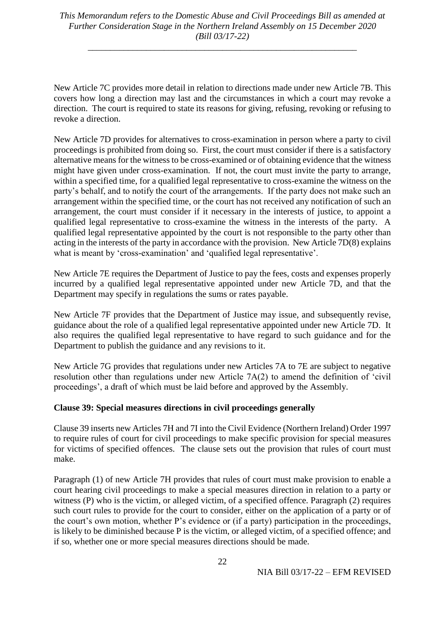\_\_\_\_\_\_\_\_\_\_\_\_\_\_\_\_\_\_\_\_\_\_\_\_\_\_\_\_\_\_\_\_\_\_\_\_\_\_\_\_\_\_\_\_\_\_\_\_\_\_\_\_\_\_\_\_\_\_\_\_

New Article 7C provides more detail in relation to directions made under new Article 7B. This covers how long a direction may last and the circumstances in which a court may revoke a direction. The court is required to state its reasons for giving, refusing, revoking or refusing to revoke a direction.

New Article 7D provides for alternatives to cross-examination in person where a party to civil proceedings is prohibited from doing so. First, the court must consider if there is a satisfactory alternative means for the witness to be cross-examined or of obtaining evidence that the witness might have given under cross-examination. If not, the court must invite the party to arrange, within a specified time, for a qualified legal representative to cross-examine the witness on the party's behalf, and to notify the court of the arrangements. If the party does not make such an arrangement within the specified time, or the court has not received any notification of such an arrangement, the court must consider if it necessary in the interests of justice, to appoint a qualified legal representative to cross-examine the witness in the interests of the party. A qualified legal representative appointed by the court is not responsible to the party other than acting in the interests of the party in accordance with the provision. New Article 7D(8) explains what is meant by 'cross-examination' and 'qualified legal representative'.

New Article 7E requires the Department of Justice to pay the fees, costs and expenses properly incurred by a qualified legal representative appointed under new Article 7D, and that the Department may specify in regulations the sums or rates payable.

New Article 7F provides that the Department of Justice may issue, and subsequently revise, guidance about the role of a qualified legal representative appointed under new Article 7D. It also requires the qualified legal representative to have regard to such guidance and for the Department to publish the guidance and any revisions to it.

New Article 7G provides that regulations under new Articles 7A to 7E are subject to negative resolution other than regulations under new Article 7A(2) to amend the definition of 'civil proceedings', a draft of which must be laid before and approved by the Assembly.

#### **Clause 39: Special measures directions in civil proceedings generally**

Clause 39 inserts new Articles 7H and 7I into the Civil Evidence (Northern Ireland) Order 1997 to require rules of court for civil proceedings to make specific provision for special measures for victims of specified offences. The clause sets out the provision that rules of court must make.

Paragraph (1) of new Article 7H provides that rules of court must make provision to enable a court hearing civil proceedings to make a special measures direction in relation to a party or witness (P) who is the victim, or alleged victim, of a specified offence. Paragraph (2) requires such court rules to provide for the court to consider, either on the application of a party or of the court's own motion, whether P's evidence or (if a party) participation in the proceedings, is likely to be diminished because P is the victim, or alleged victim, of a specified offence; and if so, whether one or more special measures directions should be made.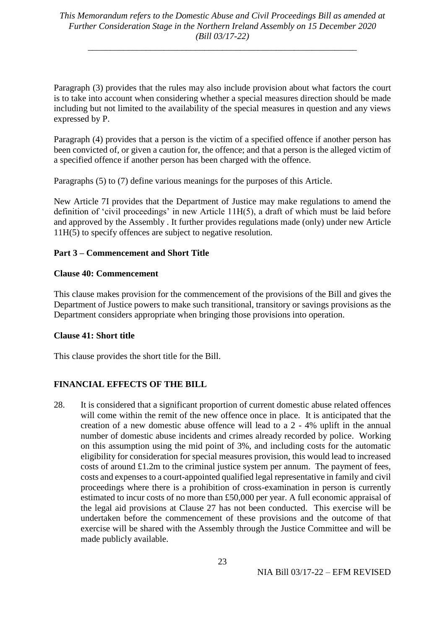Paragraph (3) provides that the rules may also include provision about what factors the court is to take into account when considering whether a special measures direction should be made including but not limited to the availability of the special measures in question and any views expressed by P.

Paragraph (4) provides that a person is the victim of a specified offence if another person has been convicted of, or given a caution for, the offence; and that a person is the alleged victim of a specified offence if another person has been charged with the offence.

Paragraphs (5) to (7) define various meanings for the purposes of this Article.

New Article 7I provides that the Department of Justice may make regulations to amend the definition of 'civil proceedings' in new Article 11H(5), a draft of which must be laid before and approved by the Assembly . It further provides regulations made (only) under new Article 11H(5) to specify offences are subject to negative resolution.

## **Part 3 – Commencement and Short Title**

## **Clause 40: Commencement**

This clause makes provision for the commencement of the provisions of the Bill and gives the Department of Justice powers to make such transitional, transitory or savings provisions as the Department considers appropriate when bringing those provisions into operation.

## **Clause 41: Short title**

This clause provides the short title for the Bill.

## **FINANCIAL EFFECTS OF THE BILL**

28. It is considered that a significant proportion of current domestic abuse related offences will come within the remit of the new offence once in place. It is anticipated that the creation of a new domestic abuse offence will lead to a 2 - 4% uplift in the annual number of domestic abuse incidents and crimes already recorded by police. Working on this assumption using the mid point of 3%, and including costs for the automatic eligibility for consideration for special measures provision, this would lead to increased costs of around £1.2m to the criminal justice system per annum. The payment of fees, costs and expenses to a court-appointed qualified legal representative in family and civil proceedings where there is a prohibition of cross-examination in person is currently estimated to incur costs of no more than £50,000 per year. A full economic appraisal of the legal aid provisions at Clause 27 has not been conducted. This exercise will be undertaken before the commencement of these provisions and the outcome of that exercise will be shared with the Assembly through the Justice Committee and will be made publicly available.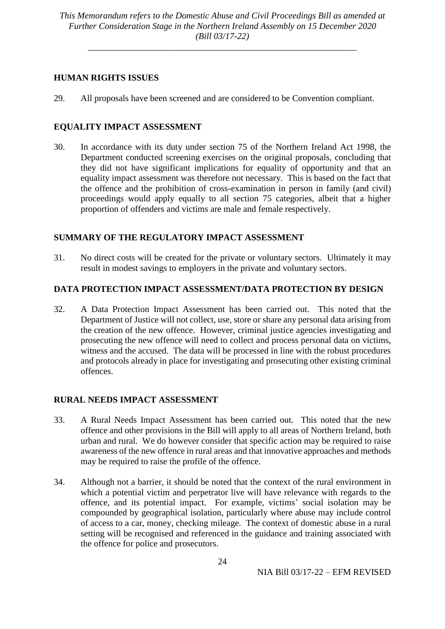\_\_\_\_\_\_\_\_\_\_\_\_\_\_\_\_\_\_\_\_\_\_\_\_\_\_\_\_\_\_\_\_\_\_\_\_\_\_\_\_\_\_\_\_\_\_\_\_\_\_\_\_\_\_\_\_\_\_\_\_

### **HUMAN RIGHTS ISSUES**

29. All proposals have been screened and are considered to be Convention compliant.

## **EQUALITY IMPACT ASSESSMENT**

30. In accordance with its duty under section 75 of the Northern Ireland Act 1998, the Department conducted screening exercises on the original proposals, concluding that they did not have significant implications for equality of opportunity and that an equality impact assessment was therefore not necessary. This is based on the fact that the offence and the prohibition of cross-examination in person in family (and civil) proceedings would apply equally to all section 75 categories, albeit that a higher proportion of offenders and victims are male and female respectively.

## **SUMMARY OF THE REGULATORY IMPACT ASSESSMENT**

31. No direct costs will be created for the private or voluntary sectors. Ultimately it may result in modest savings to employers in the private and voluntary sectors.

#### **DATA PROTECTION IMPACT ASSESSMENT/DATA PROTECTION BY DESIGN**

32. A Data Protection Impact Assessment has been carried out. This noted that the Department of Justice will not collect, use, store or share any personal data arising from the creation of the new offence. However, criminal justice agencies investigating and prosecuting the new offence will need to collect and process personal data on victims, witness and the accused. The data will be processed in line with the robust procedures and protocols already in place for investigating and prosecuting other existing criminal offences.

## **RURAL NEEDS IMPACT ASSESSMENT**

- 33. A Rural Needs Impact Assessment has been carried out. This noted that the new offence and other provisions in the Bill will apply to all areas of Northern Ireland, both urban and rural. We do however consider that specific action may be required to raise awareness of the new offence in rural areas and that innovative approaches and methods may be required to raise the profile of the offence.
- 34. Although not a barrier, it should be noted that the context of the rural environment in which a potential victim and perpetrator live will have relevance with regards to the offence, and its potential impact. For example, victims' social isolation may be compounded by geographical isolation, particularly where abuse may include control of access to a car, money, checking mileage. The context of domestic abuse in a rural setting will be recognised and referenced in the guidance and training associated with the offence for police and prosecutors.